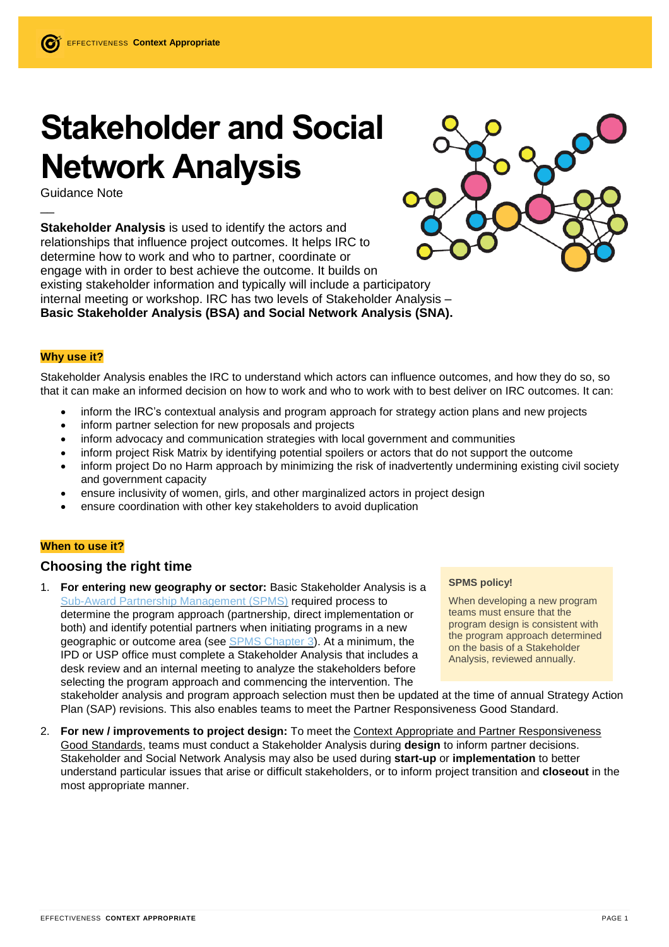# **Stakeholder and Social Network Analysis**

Guidance Note

 $\overline{\phantom{a}}$ 

**Stakeholder Analysis** is used to identify the actors and relationships that influence project outcomes. It helps IRC to determine how to work and who to partner, coordinate or engage with in order to best achieve the outcome. It builds on existing stakeholder information and typically will include a participatory internal meeting or workshop. IRC has two levels of Stakeholder Analysis – **Basic Stakeholder Analysis (BSA) and Social Network Analysis (SNA).** 



# **Why use it?**

Stakeholder Analysis enables the IRC to understand which actors can influence outcomes, and how they do so, so that it can make an informed decision on how to work and who to work with to best deliver on IRC outcomes. It can:

- inform the IRC's contextual analysis and program approach for strategy action plans and new projects
- inform partner selection for new proposals and projects
- inform advocacy and communication strategies with local government and communities
- inform project Risk Matrix by identifying potential spoilers or actors that do not support the outcome
- inform project Do no Harm approach by minimizing the risk of inadvertently undermining existing civil society and government capacity
- ensure inclusivity of women, girls, and other marginalized actors in project design
- ensure coordination with other key stakeholders to avoid duplication

# **When to use it?**

# **Choosing the right time**

1. **For entering new geography or sector:** Basic Stakeholder Analysis is a Sub-Award Partnership [Management](https://rescuenet.rescue.org/Interact/Pages/Section/Default.aspx?section=8065) (SPMS) required process to determine the program approach (partnership, direct implementation or both) and identify potential partners when initiating programs in a new geographic or outcome area (see SPMS [Chapter](https://rescuenet.rescue.org/Interact/Pages/Content/Document.aspx?id=6361) 3). At a minimum, the IPD or USP office must complete a Stakeholder Analysis that includes a desk review and an internal meeting to analyze the stakeholders before selecting the program approach and commencing the intervention. The

#### **SPMS policy!**

When developing a new program teams must ensure that the program design is consistent with the program approach determined on the basis of a Stakeholder Analysis, reviewed annually.

stakeholder analysis and program approach selection must then be updated at the time of annual Strategy Action Plan (SAP) revisions. This also enables teams to meet the Partner Responsiveness Good Standard.

2. **For new / improvements to project design:** To meet the Context Appropriate and Partner Responsiveness Good Standards, teams must conduct a Stakeholder Analysis during **design** to inform partner decisions. Stakeholder and Social Network Analysis may also be used during **start-up** or **implementation** to better understand particular issues that arise or difficult stakeholders, or to inform project transition and **closeout** in the most appropriate manner.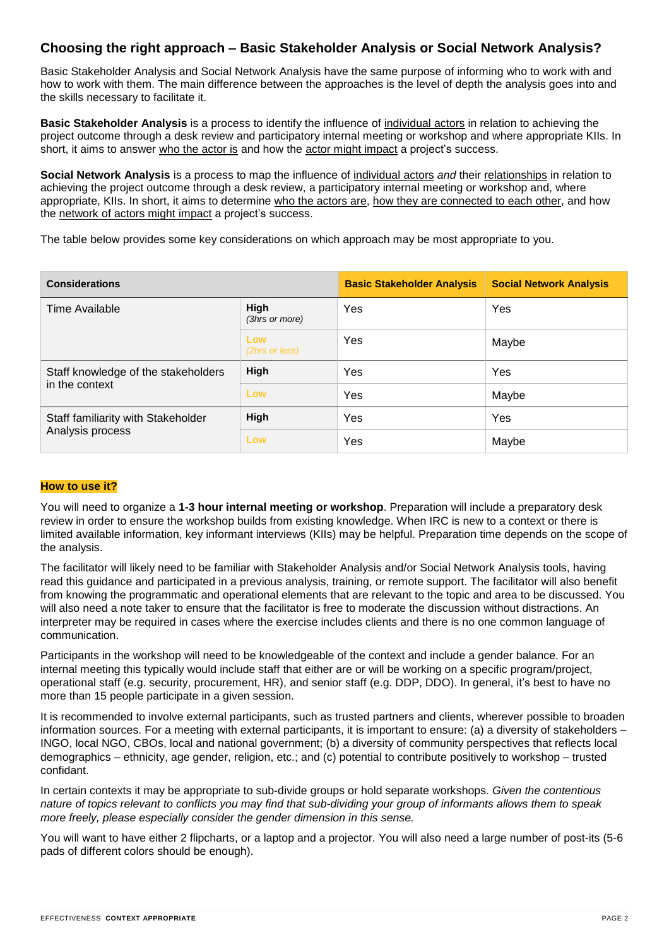# **Choosing the right approach – Basic Stakeholder Analysis or Social Network Analysis?**

Basic Stakeholder Analysis and Social Network Analysis have the same purpose of informing who to work with and how to work with them. The main difference between the approaches is the level of depth the analysis goes into and the skills necessary to facilitate it.

**Basic Stakeholder Analysis** is a process to identify the influence of individual actors in relation to achieving the project outcome through a desk review and participatory internal meeting or workshop and where appropriate KIIs. In short, it aims to answer who the actor is and how the actor might impact a project's success.

**Social Network Analysis** is a process to map the influence of individual actors *and* their relationships in relation to achieving the project outcome through a desk review, a participatory internal meeting or workshop and, where appropriate, KIIs. In short, it aims to determine who the actors are, how they are connected to each other, and how the network of actors might impact a project's success.

The table below provides some key considerations on which approach may be most appropriate to you.

| <b>Considerations</b>                                  |                        | <b>Basic Stakeholder Analysis</b> | <b>Social Network Analysis</b> |
|--------------------------------------------------------|------------------------|-----------------------------------|--------------------------------|
| Time Available                                         | High<br>(3hrs or more) | Yes                               | Yes                            |
|                                                        | Low<br>(2hrs or less)  | Yes                               | Maybe                          |
| Staff knowledge of the stakeholders<br>in the context  | High                   | Yes                               | Yes                            |
|                                                        | Low                    | Yes                               | Maybe                          |
| Staff familiarity with Stakeholder<br>Analysis process | High                   | Yes                               | Yes                            |
|                                                        | Low                    | Yes                               | Maybe                          |

#### **How to use it?**

You will need to organize a **1-3 hour internal meeting or workshop**. Preparation will include a preparatory desk review in order to ensure the workshop builds from existing knowledge. When IRC is new to a context or there is limited available information, key informant interviews (KIIs) may be helpful. Preparation time depends on the scope of the analysis.

The facilitator will likely need to be familiar with Stakeholder Analysis and/or Social Network Analysis tools, having read this guidance and participated in a previous analysis, training, or remote support. The facilitator will also benefit from knowing the programmatic and operational elements that are relevant to the topic and area to be discussed. You will also need a note taker to ensure that the facilitator is free to moderate the discussion without distractions. An interpreter may be required in cases where the exercise includes clients and there is no one common language of communication.

Participants in the workshop will need to be knowledgeable of the context and include a gender balance. For an internal meeting this typically would include staff that either are or will be working on a specific program/project, operational staff (e.g. security, procurement, HR), and senior staff (e.g. DDP, DDO). In general, it's best to have no more than 15 people participate in a given session.

It is recommended to involve external participants, such as trusted partners and clients, wherever possible to broaden information sources. For a meeting with external participants, it is important to ensure: (a) a diversity of stakeholders – INGO, local NGO, CBOs, local and national government; (b) a diversity of community perspectives that reflects local demographics – ethnicity, age gender, religion, etc.; and (c) potential to contribute positively to workshop – trusted confidant.

In certain contexts it may be appropriate to sub-divide groups or hold separate workshops. *Given the contentious* nature of topics relevant to conflicts you may find that sub-dividing your group of informants allows them to speak *more freely, please especially consider the gender dimension in this sense.*

You will want to have either 2 flipcharts, or a laptop and a projector. You will also need a large number of post-its (5-6 pads of different colors should be enough).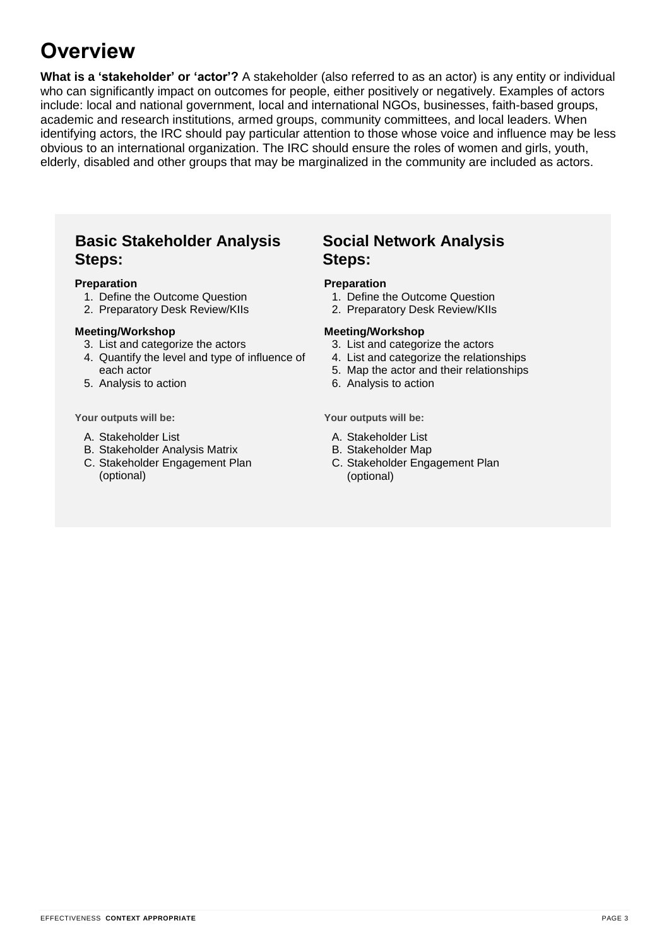# **Overview**

**What is a 'stakeholder' or 'actor'?** A stakeholder (also referred to as an actor) is any entity or individual who can significantly impact on outcomes for people, either positively or negatively. Examples of actors include: local and national government, local and international NGOs, businesses, faith-based groups, academic and research institutions, armed groups, community committees, and local leaders. When identifying actors, the IRC should pay particular attention to those whose voice and influence may be less obvious to an international organization. The IRC should ensure the roles of women and girls, youth, elderly, disabled and other groups that may be marginalized in the community are included as actors.

# **Basic Stakeholder Analysis Steps:**

### **Preparation**

- 1. Define the Outcome Question
- 2. Preparatory Desk Review/KIIs

### **Meeting/Workshop**

- 3. List and categorize the actors
- 4. Quantify the level and type of influence of each actor
- 5. Analysis to action

**Your outputs will be:**

- A. Stakeholder List
- B. Stakeholder Analysis Matrix
- C. Stakeholder Engagement Plan (optional)

# **Social Network Analysis Steps:**

#### **Preparation**

- 1. Define the Outcome Question
- 2. Preparatory Desk Review/KIIs

### **Meeting/Workshop**

- 3. List and categorize the actors
- 4. List and categorize the relationships
- 5. Map the actor and their relationships
- 6. Analysis to action

**Your outputs will be:**

- A. Stakeholder List
- B. Stakeholder Map
- C. Stakeholder Engagement Plan (optional)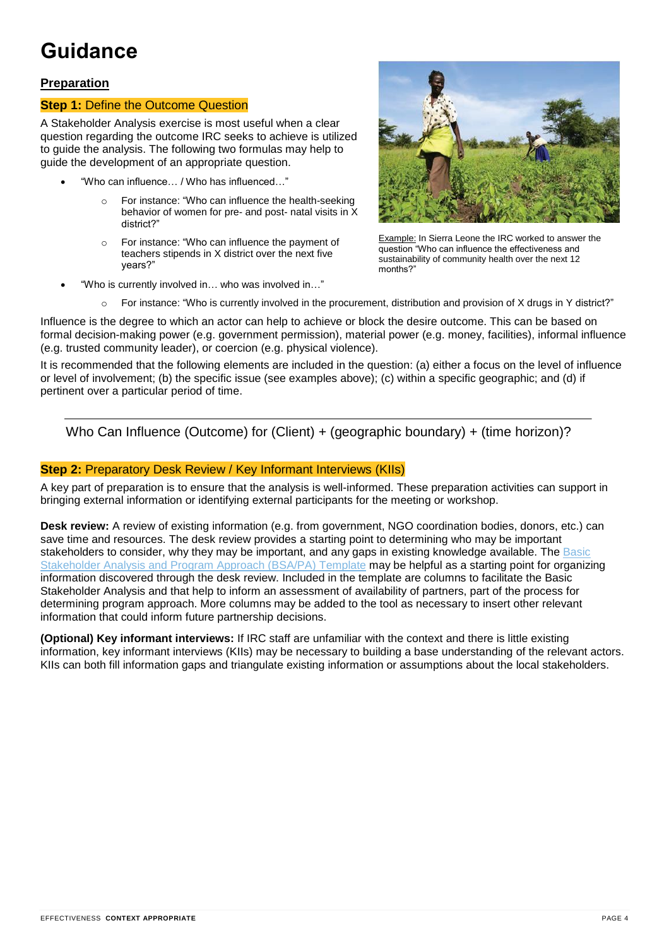# **Guidance**

# **Preparation**

# **Step 1:** Define the Outcome Question

A Stakeholder Analysis exercise is most useful when a clear question regarding the outcome IRC seeks to achieve is utilized to guide the analysis. The following two formulas may help to guide the development of an appropriate question.

- "Who can influence… / Who has influenced…"
	- For instance: "Who can influence the health-seeking behavior of women for pre- and post- natal visits in X district?"
	- o For instance: "Who can influence the payment of teachers stipends in X district over the next five years?"
- "Who is currently involved in… who was involved in…"



Example: In Sierra Leone the IRC worked to answer the question "Who can influence the effectiveness and sustainability of community health over the next 12 months?"

For instance: "Who is currently involved in the procurement, distribution and provision of X drugs in Y district?"

Influence is the degree to which an actor can help to achieve or block the desire outcome. This can be based on formal decision-making power (e.g. government permission), material power (e.g. money, facilities), informal influence (e.g. trusted community leader), or coercion (e.g. physical violence).

It is recommended that the following elements are included in the question: (a) either a focus on the level of influence or level of involvement; (b) the specific issue (see examples above); (c) within a specific geographic; and (d) if pertinent over a particular period of time.

Who Can Influence (Outcome) for (Client) + (geographic boundary) + (time horizon)?

# **Step 2: Preparatory Desk Review / Key Informant Interviews (KIIs)**

A key part of preparation is to ensure that the analysis is well-informed. These preparation activities can support in bringing external information or identifying external participants for the meeting or workshop.

**Desk review:** A review of existing information (e.g. from government, NGO coordination bodies, donors, etc.) can save time and resources. The desk review provides a starting point to determining who may be important stakeholders to consider, why they may be important, and any gaps in existing knowledge available. The [Basic](https://rescue.box.com/s/ql8fgqmrg4k23lgu9dwje4pv71das1du) [Stakeholder](https://rescue.box.com/s/ql8fgqmrg4k23lgu9dwje4pv71das1du) Analysis and Program Approach (BSA/PA) Template may be helpful as a starting point for organizing information discovered through the desk review. Included in the template are columns to facilitate the Basic Stakeholder Analysis and that help to inform an assessment of availability of partners, part of the process for determining program approach. More columns may be added to the tool as necessary to insert other relevant information that could inform future partnership decisions.

**(Optional) Key informant interviews:** If IRC staff are unfamiliar with the context and there is little existing information, key informant interviews (KIIs) may be necessary to building a base understanding of the relevant actors. KIIs can both fill information gaps and triangulate existing information or assumptions about the local stakeholders.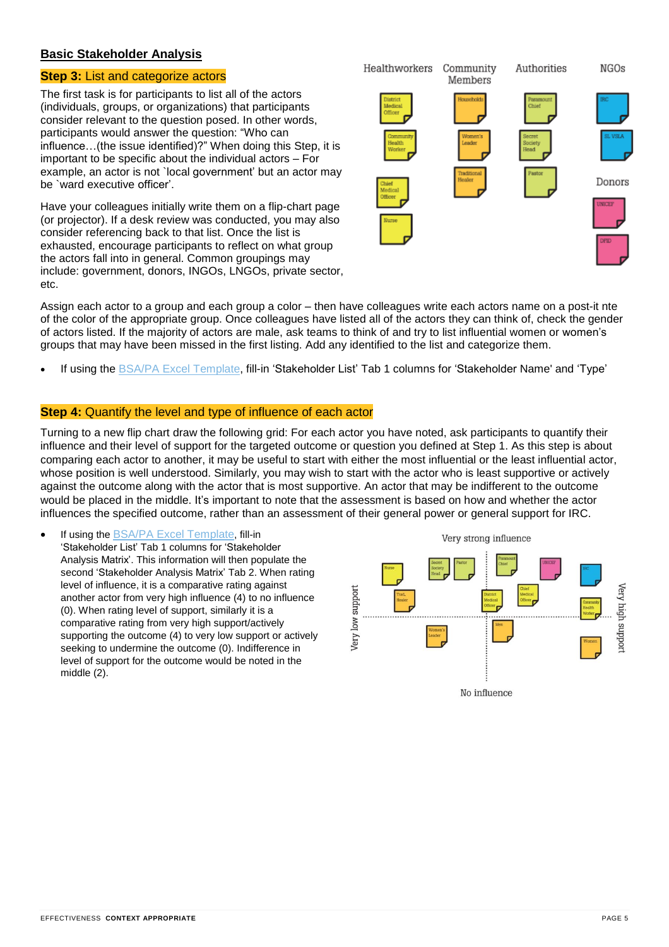# **Basic Stakeholder Analysis**

# **Step 3:** List and categorize actors

The first task is for participants to list all of the actors (individuals, groups, or organizations) that participants consider relevant to the question posed. In other words, participants would answer the question: "Who can influence…(the issue identified)?" When doing this Step, it is important to be specific about the individual actors – For example, an actor is not `local government' but an actor may be `ward executive officer'.

Have your colleagues initially write them on a flip-chart page (or projector). If a desk review was conducted, you may also consider referencing back to that list. Once the list is exhausted, encourage participants to reflect on what group the actors fall into in general. Common groupings may include: government, donors, INGOs, LNGOs, private sector, etc.



Assign each actor to a group and each group a color – then have colleagues write each actors name on a post-it nte of the color of the appropriate group. Once colleagues have listed all of the actors they can think of, check the gender of actors listed. If the majority of actors are male, ask teams to think of and try to list influential women or women's groups that may have been missed in the first listing. Add any identified to the list and categorize them.

If using the BSA/PA Excel [Template,](https://rescue.box.com/s/ql8fgqmrg4k23lgu9dwje4pv71das1du) fill-in 'Stakeholder List' Tab 1 columns for 'Stakeholder Name' and 'Type'

# **Step 4:** Quantify the level and type of influence of each actor

Turning to a new flip chart draw the following grid: For each actor you have noted, ask participants to quantify their influence and their level of support for the targeted outcome or question you defined at Step 1. As this step is about comparing each actor to another, it may be useful to start with either the most influential or the least influential actor, whose position is well understood. Similarly, you may wish to start with the actor who is least supportive or actively against the outcome along with the actor that is most supportive. An actor that may be indifferent to the outcome would be placed in the middle. It's important to note that the assessment is based on how and whether the actor influences the specified outcome, rather than an assessment of their general power or general support for IRC.

 If using the BSA/PA Excel [Template](https://rescue.box.com/s/ql8fgqmrg4k23lgu9dwje4pv71das1du), fill-in 'Stakeholder List' Tab 1 columns for 'Stakeholder Analysis Matrix'. This information will then populate the second 'Stakeholder Analysis Matrix' Tab 2. When rating level of influence, it is a comparative rating against another actor from very high influence (4) to no influence (0). When rating level of support, similarly it is a comparative rating from very high support/actively supporting the outcome (4) to very low support or actively seeking to undermine the outcome (0). Indifference in level of support for the outcome would be noted in the middle (2).

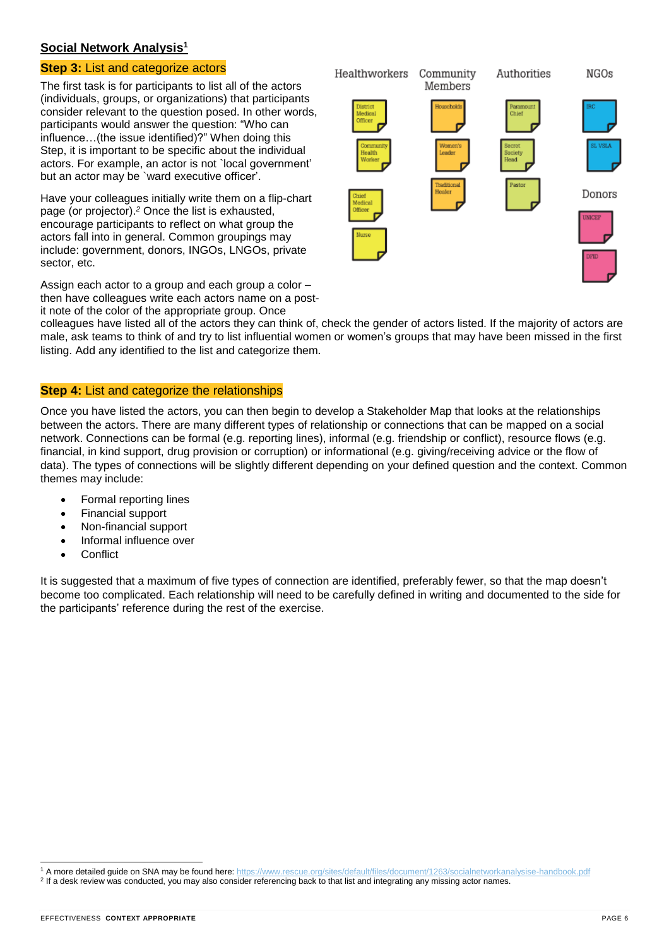# **Social Network Analysis<sup>1</sup>**

# **Step 3:** List and categorize actors

The first task is for participants to list all of the actors (individuals, groups, or organizations) that participants consider relevant to the question posed. In other words, participants would answer the question: "Who can influence…(the issue identified)?" When doing this Step, it is important to be specific about the individual actors. For example, an actor is not `local government' but an actor may be `ward executive officer'.

Have your colleagues initially write them on a flip-chart page (or projector).*<sup>2</sup>* Once the list is exhausted, encourage participants to reflect on what group the actors fall into in general. Common groupings may include: government, donors, INGOs, LNGOs, private sector, etc.

Assign each actor to a group and each group a color – then have colleagues write each actors name on a postit note of the color of the appropriate group. Once



colleagues have listed all of the actors they can think of, check the gender of actors listed. If the majority of actors are male, ask teams to think of and try to list influential women or women's groups that may have been missed in the first listing. Add any identified to the list and categorize them*.*

# **Step 4:** List and categorize the relationships

Once you have listed the actors, you can then begin to develop a Stakeholder Map that looks at the relationships between the actors. There are many different types of relationship or connections that can be mapped on a social network. Connections can be formal (e.g. reporting lines), informal (e.g. friendship or conflict), resource flows (e.g. financial, in kind support, drug provision or corruption) or informational (e.g. giving/receiving advice or the flow of data). The types of connections will be slightly different depending on your defined question and the context. Common themes may include:

- Formal reporting lines
- Financial support
- Non-financial support
- Informal influence over
- **Conflict**

It is suggested that a maximum of five types of connection are identified, preferably fewer, so that the map doesn't become too complicated. Each relationship will need to be carefully defined in writing and documented to the side for the participants' reference during the rest of the exercise.

l

<sup>1</sup> A more detailed guide on SNA may be found here: <https://www.rescue.org/sites/default/files/document/1263/socialnetworkanalysise-handbook.pdf>

<sup>2</sup> If a desk review was conducted, you may also consider referencing back to that list and integrating any missing actor names.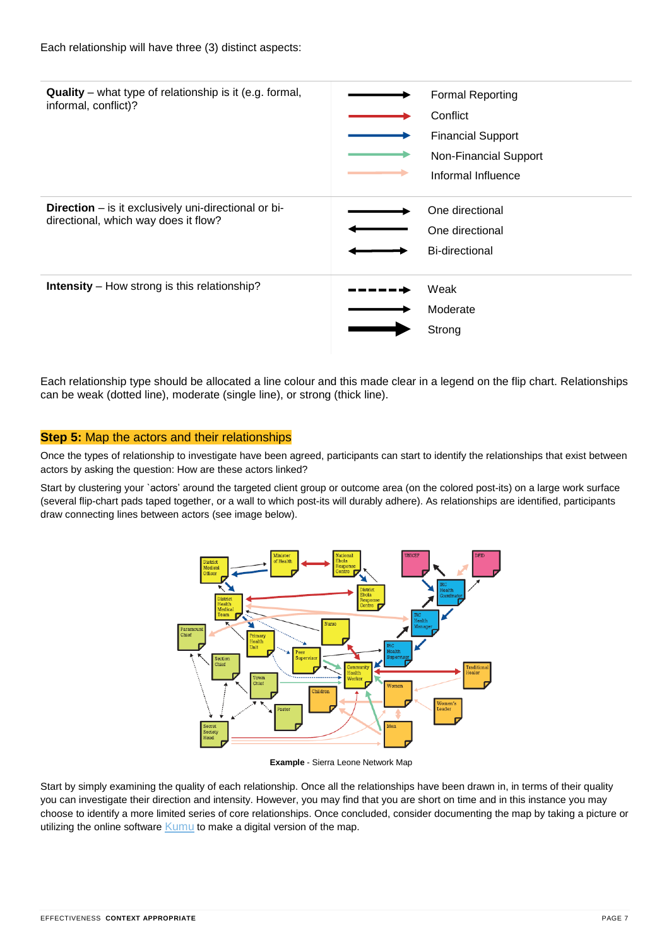

Each relationship type should be allocated a line colour and this made clear in a legend on the flip chart. Relationships can be weak (dotted line), moderate (single line), or strong (thick line).

# **Step 5:** Map the actors and their relationships

Once the types of relationship to investigate have been agreed, participants can start to identify the relationships that exist between actors by asking the question: How are these actors linked?

Start by clustering your `actors' around the targeted client group or outcome area (on the colored post-its) on a large work surface (several flip-chart pads taped together, or a wall to which post-its will durably adhere). As relationships are identified, participants draw connecting lines between actors (see image below).



**Example** - Sierra Leone Network Map

Start by simply examining the quality of each relationship. Once all the relationships have been drawn in, in terms of their quality you can investigate their direction and intensity. However, you may find that you are short on time and in this instance you may choose to identify a more limited series of core relationships. Once concluded, consider documenting the map by taking a picture or utilizing the online software [Kumu](https://kumu.io/) to make a digital version of the map.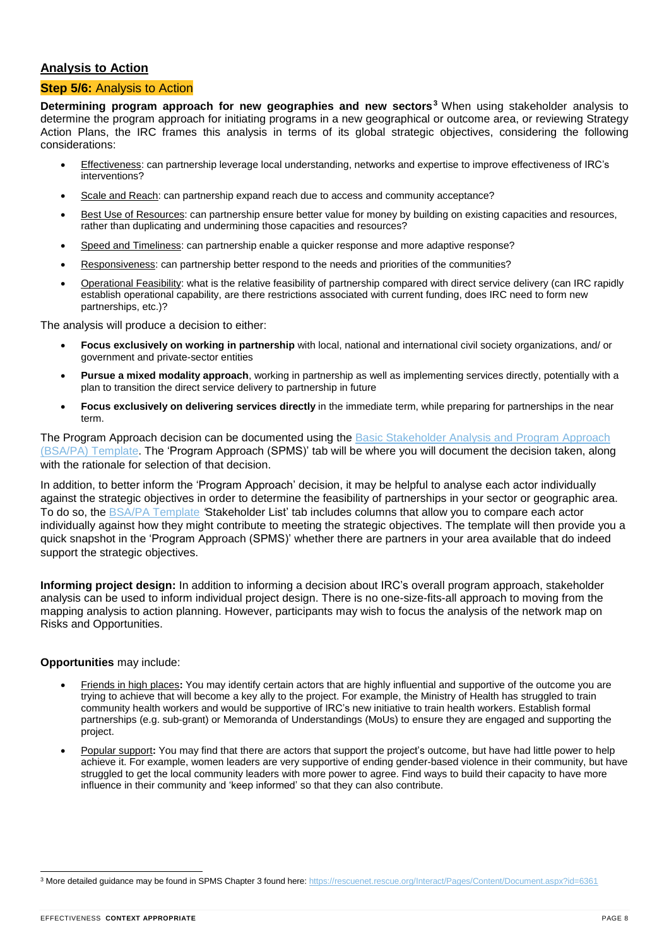# **Analysis to Action**

# **Step 5/6:** Analysis to Action

**Determining program approach for new geographies and new sectors<sup>3</sup>** When using stakeholder analysis to determine the program approach for initiating programs in a new geographical or outcome area, or reviewing Strategy Action Plans, the IRC frames this analysis in terms of its global strategic objectives, considering the following considerations:

- Effectiveness: can partnership leverage local understanding, networks and expertise to improve effectiveness of IRC's interventions?
- Scale and Reach: can partnership expand reach due to access and community acceptance?
- Best Use of Resources: can partnership ensure better value for money by building on existing capacities and resources, rather than duplicating and undermining those capacities and resources?
- Speed and Timeliness: can partnership enable a quicker response and more adaptive response?
- Responsiveness: can partnership better respond to the needs and priorities of the communities?
- Operational Feasibility: what is the relative feasibility of partnership compared with direct service delivery (can IRC rapidly establish operational capability, are there restrictions associated with current funding, does IRC need to form new partnerships, etc.)?

The analysis will produce a decision to either:

- **Focus exclusively on working in partnership** with local, national and international civil society organizations, and/ or government and private-sector entities
- **Pursue a mixed modality approach**, working in partnership as well as implementing services directly, potentially with a plan to transition the direct service delivery to partnership in future
- **Focus exclusively on delivering services directly** in the immediate term, while preparing for partnerships in the near term.

The Program Approach decision can be documented using the Basic [Stakeholder](https://rescue.box.com/s/ql8fgqmrg4k23lgu9dwje4pv71das1du) Analysis and Program Approach (BSA/PA) [Template.](https://rescue.box.com/s/ql8fgqmrg4k23lgu9dwje4pv71das1du) The 'Program Approach (SPMS)' tab will be where you will document the decision taken, along with the rationale for selection of that decision.

In addition, to better inform the 'Program Approach' decision, it may be helpful to analyse each actor individually against the strategic objectives in order to determine the feasibility of partnerships in your sector or geographic area. To do so, the BSA/PA [Template](https://rescue.box.com/s/ql8fgqmrg4k23lgu9dwje4pv71das1du) *'*Stakeholder List' tab includes columns that allow you to compare each actor individually against how they might contribute to meeting the strategic objectives. The template will then provide you a quick snapshot in the 'Program Approach (SPMS)' whether there are partners in your area available that do indeed support the strategic objectives.

**Informing project design:** In addition to informing a decision about IRC's overall program approach, stakeholder analysis can be used to inform individual project design. There is no one-size-fits-all approach to moving from the mapping analysis to action planning. However, participants may wish to focus the analysis of the network map on Risks and Opportunities.

# **Opportunities** may include:

- Friends in high places**:** You may identify certain actors that are highly influential and supportive of the outcome you are trying to achieve that will become a key ally to the project. For example, the Ministry of Health has struggled to train community health workers and would be supportive of IRC's new initiative to train health workers. Establish formal partnerships (e.g. sub-grant) or Memoranda of Understandings (MoUs) to ensure they are engaged and supporting the project.
- Popular support**:** You may find that there are actors that support the project's outcome, but have had little power to help achieve it. For example, women leaders are very supportive of ending gender-based violence in their community, but have struggled to get the local community leaders with more power to agree. Find ways to build their capacity to have more influence in their community and 'keep informed' so that they can also contribute.

l <sup>3</sup> More detailed guidance may be found in SPMS Chapter 3 found here: <https://rescuenet.rescue.org/Interact/Pages/Content/Document.aspx?id=6361>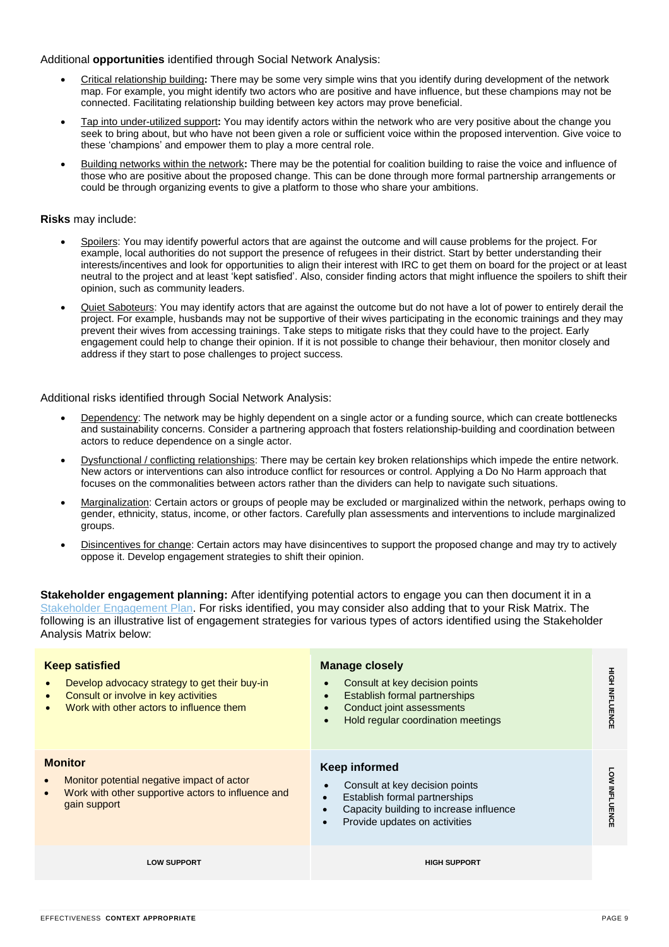#### Additional **opportunities** identified through Social Network Analysis:

- Critical relationship building**:** There may be some very simple wins that you identify during development of the network map. For example, you might identify two actors who are positive and have influence, but these champions may not be connected. Facilitating relationship building between key actors may prove beneficial.
- Tap into under-utilized support**:** You may identify actors within the network who are very positive about the change you seek to bring about, but who have not been given a role or sufficient voice within the proposed intervention. Give voice to these 'champions' and empower them to play a more central role.
- Building networks within the network**:** There may be the potential for coalition building to raise the voice and influence of those who are positive about the proposed change. This can be done through more formal partnership arrangements or could be through organizing events to give a platform to those who share your ambitions.

#### **Risks** may include:

- Spoilers: You may identify powerful actors that are against the outcome and will cause problems for the project. For example, local authorities do not support the presence of refugees in their district. Start by better understanding their interests/incentives and look for opportunities to align their interest with IRC to get them on board for the project or at least neutral to the project and at least 'kept satisfied'. Also, consider finding actors that might influence the spoilers to shift their opinion, such as community leaders.
- Quiet Saboteurs: You may identify actors that are against the outcome but do not have a lot of power to entirely derail the project. For example, husbands may not be supportive of their wives participating in the economic trainings and they may prevent their wives from accessing trainings. Take steps to mitigate risks that they could have to the project. Early engagement could help to change their opinion. If it is not possible to change their behaviour, then monitor closely and address if they start to pose challenges to project success.

Additional risks identified through Social Network Analysis:

- Dependency: The network may be highly dependent on a single actor or a funding source, which can create bottlenecks and sustainability concerns. Consider a partnering approach that fosters relationship-building and coordination between actors to reduce dependence on a single actor.
- Dysfunctional / conflicting relationships: There may be certain key broken relationships which impede the entire network. New actors or interventions can also introduce conflict for resources or control. Applying a Do No Harm approach that focuses on the commonalities between actors rather than the dividers can help to navigate such situations.
- Marginalization: Certain actors or groups of people may be excluded or marginalized within the network, perhaps owing to gender, ethnicity, status, income, or other factors. Carefully plan assessments and interventions to include marginalized groups.
- Disincentives for change: Certain actors may have disincentives to support the proposed change and may try to actively oppose it. Develop engagement strategies to shift their opinion.

**Stakeholder engagement planning:** After identifying potential actors to engage you can then document it in a Stakeholder [Engagement](https://rescue.box.com/s/d731u9axufq803kzrs7kb93596y5hgfc) Plan. For risks identified, you may consider also adding that to your Risk Matrix. The following is an illustrative list of engagement strategies for various types of actors identified using the Stakeholder Analysis Matrix below:

| <b>Keep satisfied</b><br>Develop advocacy strategy to get their buy-in<br>Consult or involve in key activities<br>Work with other actors to influence them | <b>Manage closely</b><br>Consult at key decision points<br>Establish formal partnerships<br>Conduct joint assessments<br>Hold regular coordination meetings         | HIGH INFLUENCE       |
|------------------------------------------------------------------------------------------------------------------------------------------------------------|---------------------------------------------------------------------------------------------------------------------------------------------------------------------|----------------------|
| <b>Monitor</b><br>Monitor potential negative impact of actor<br>Work with other supportive actors to influence and<br>gain support                         | <b>Keep informed</b><br>Consult at key decision points<br>Establish formal partnerships<br>Capacity building to increase influence<br>Provide updates on activities | <b>LOW INFLUENCE</b> |
| <b>LOW SUPPORT</b>                                                                                                                                         | <b>HIGH SUPPORT</b>                                                                                                                                                 |                      |